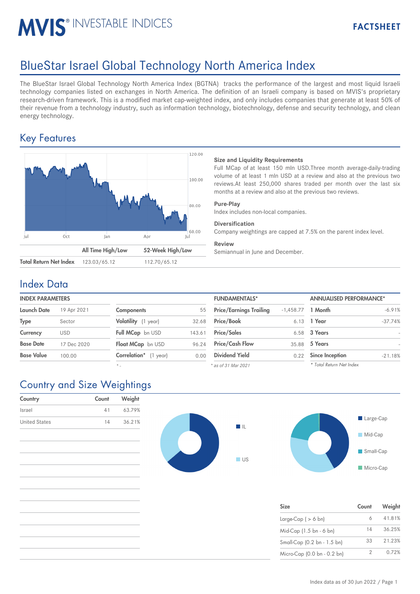# MVIS<sup>®</sup> INVESTABLE INDICES

## BlueStar Israel Global Technology North America Index

The BlueStar Israel Global Technology North America Index (BGTNA) tracks the performance of the largest and most liquid Israeli technology companies listed on exchanges in North America. The definition of an Israeli company is based on MVIS's proprietary research-driven framework. This is a modified market cap-weighted index, and only includes companies that generate at least 50% of their revenue from a technology industry, such as information technology, biotechnology, defense and security technology, and clean energy technology.

## Key Features



#### **Size and Liquidity Requirements**

Full MCap of at least 150 mln USD.Three month average-daily-trading volume of at least 1 mln USD at a review and also at the previous two reviews.At least 250,000 shares traded per month over the last six months at a review and also at the previous two reviews.

#### **Pure-Play**

Index includes non-local companies.

#### **Diversification**

Company weightings are capped at 7.5% on the parent index level.

#### **Review**

Semiannual in June and December.

#### Index Data

| <b>INDEX PARAMETERS</b> |                            | <b>FUNDAMENTALS*</b> |                                | <b>ANNUALISED PERFORMANCE*</b> |                        |                                                                     |
|-------------------------|----------------------------|----------------------|--------------------------------|--------------------------------|------------------------|---------------------------------------------------------------------|
| 19 Apr 2021             | <b>Components</b>          | 55                   | <b>Price/Earnings Trailing</b> |                                |                        |                                                                     |
| Sector                  | Volatility (1 year)        | 32.68                | <b>Price/Book</b>              |                                |                        |                                                                     |
| USD                     | Full MCap bn USD           | 143.61               | <b>Price/Sales</b>             |                                |                        |                                                                     |
| 17 Dec 2020             | Float MCap bn USD          | 96.24                | <b>Price/Cash Flow</b>         |                                |                        |                                                                     |
| 100.00                  | Correlation*<br>$(1$ year) | 0.00                 | <b>Dividend Yield</b>          | 0.22                           | <b>Since Inception</b> |                                                                     |
|                         |                            |                      |                                |                                |                        | $-1,458.77$ 1 Month<br>6.13 1 Year<br>6.58 3 Years<br>35.88 5 Years |

*\* -*

| <b>FUNDAMENTALS*</b>           |                     | <b>ANNUALISED PERFORMANCE*</b> |           |  |
|--------------------------------|---------------------|--------------------------------|-----------|--|
| <b>Price/Earnings Trailing</b> | $-1,458.77$ 1 Month |                                | $-6.91%$  |  |
| Price/Book                     | 6.13                | 1 Year                         | $-37.74%$ |  |
| <b>Price/Sales</b>             | 6.58                | 3 Years                        |           |  |
| <b>Price/Cash Flow</b>         | 35.88               | 5 Years                        |           |  |
| <b>Dividend Yield</b>          | 0.22                | <b>Since Inception</b>         | $-21.18%$ |  |
| as of 31 Mar 2021 *            |                     | * Total Return Net Index       |           |  |

*\* as of 31 Mar 2021*

## Country and Size Weightings

| Country              | Count | Weight |
|----------------------|-------|--------|
| Israel               | 41    | 63.79% |
| <b>United States</b> | 14    | 36.21% |
|                      |       |        |
|                      |       |        |
|                      |       |        |





| <b>Size</b>                 | Count | Weight |
|-----------------------------|-------|--------|
| Large-Cap $( > 6$ bn)       | 6     | 41.81% |
| Mid-Cap (1.5 bn - 6 bn)     | 14    | 36.25% |
| Small-Cap (0.2 bn - 1.5 bn) | 33    | 21.23% |
| Micro-Cap (0.0 bn - 0.2 bn) |       | 0.72%  |